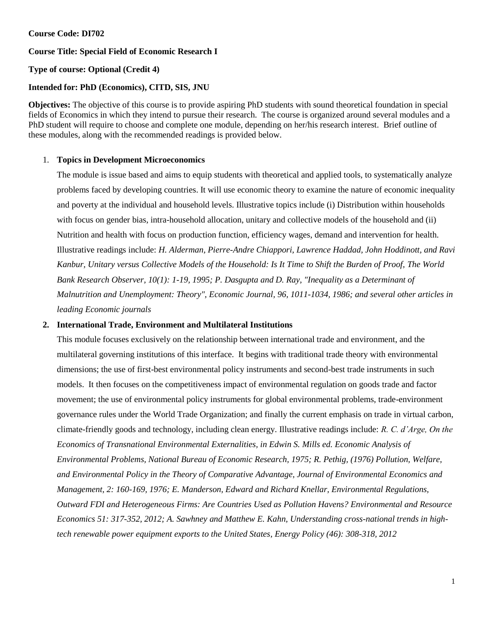## **Course Code: DI702**

## **Course Title: Special Field of Economic Research I**

# **Type of course: Optional (Credit 4)**

# **Intended for: PhD (Economics), CITD, SIS, JNU**

**Objectives:** The objective of this course is to provide aspiring PhD students with sound theoretical foundation in special fields of Economics in which they intend to pursue their research. The course is organized around several modules and a PhD student will require to choose and complete one module, depending on her/his research interest. Brief outline of these modules, along with the recommended readings is provided below.

## 1. **Topics in Development Microeconomics**

The module is issue based and aims to equip students with theoretical and applied tools, to systematically analyze problems faced by developing countries. It will use economic theory to examine the nature of economic inequality and poverty at the individual and household levels. Illustrative topics include (i) Distribution within households with focus on gender bias, intra-household allocation, unitary and collective models of the household and (ii) Nutrition and health with focus on production function, efficiency wages, demand and intervention for health. Illustrative readings include: *H. Alderman, Pierre-Andre Chiappori, Lawrence Haddad, John Hoddinott, and Ravi Kanbur, Unitary versus Collective Models of the Household: Is It Time to Shift the Burden of Proof, The World Bank Research Observer, 10(1): 1-19, 1995; P. Dasgupta and D. Ray, "Inequality as a Determinant of Malnutrition and Unemployment: Theory", Economic Journal, 96, 1011-1034, 1986; and several other articles in leading Economic journals*

## **2. International Trade, Environment and Multilateral Institutions**

This module focuses exclusively on the relationship between international trade and environment, and the multilateral governing institutions of this interface. It begins with traditional trade theory with environmental dimensions; the use of first-best environmental policy instruments and second-best trade instruments in such models. It then focuses on the competitiveness impact of environmental regulation on goods trade and factor movement; the use of environmental policy instruments for global environmental problems, trade-environment governance rules under the World Trade Organization; and finally the current emphasis on trade in virtual carbon, climate-friendly goods and technology, including clean energy. Illustrative readings include: *R. C. d'Arge, On the Economics of Transnational Environmental Externalities, in Edwin S. Mills ed. Economic Analysis of Environmental Problems, National Bureau of Economic Research, 1975; R. Pethig, (1976) Pollution, Welfare, and Environmental Policy in the Theory of Comparative Advantage, Journal of Environmental Economics and Management, 2: 160-169, 1976; E. Manderson, Edward and Richard Knellar, Environmental Regulations, Outward FDI and Heterogeneous Firms: Are Countries Used as Pollution Havens? Environmental and Resource Economics 51: 317-352, 2012; A. Sawhney and Matthew E. Kahn, Understanding cross-national trends in hightech renewable power equipment exports to the United States, Energy Policy (46): 308-318, 2012*